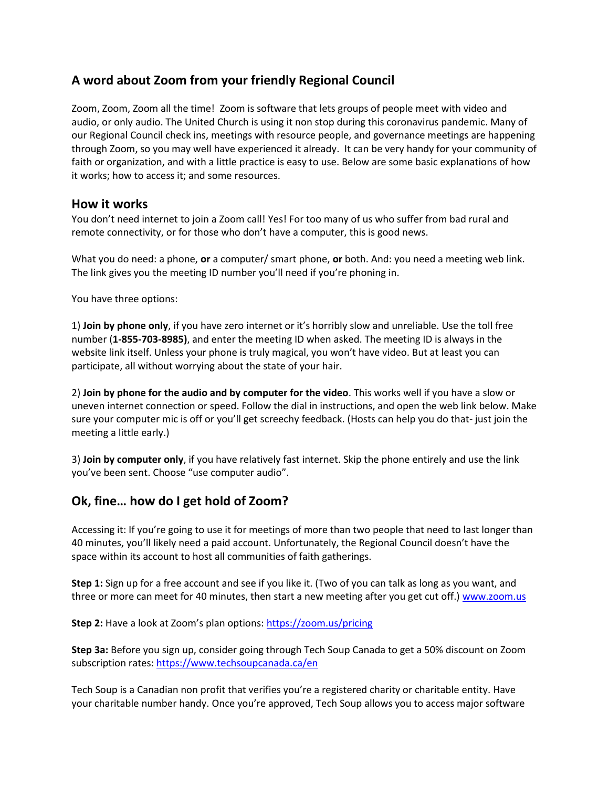## **A word about Zoom from your friendly Regional Council**

Zoom, Zoom, Zoom all the time! Zoom is software that lets groups of people meet with video and audio, or only audio. The United Church is using it non stop during this coronavirus pandemic. Many of our Regional Council check ins, meetings with resource people, and governance meetings are happening through Zoom, so you may well have experienced it already. It can be very handy for your community of faith or organization, and with a little practice is easy to use. Below are some basic explanations of how it works; how to access it; and some resources.

## **How it works**

You don't need internet to join a Zoom call! Yes! For too many of us who suffer from bad rural and remote connectivity, or for those who don't have a computer, this is good news.

What you do need: a phone, **or** a computer/ smart phone, **or** both. And: you need a meeting web link. The link gives you the meeting ID number you'll need if you're phoning in.

You have three options:

1) **Join by phone only**, if you have zero internet or it's horribly slow and unreliable. Use the toll free number (**1-855-703-8985)**, and enter the meeting ID when asked. The meeting ID is always in the website link itself. Unless your phone is truly magical, you won't have video. But at least you can participate, all without worrying about the state of your hair.

2) **Join by phone for the audio and by computer for the video**. This works well if you have a slow or uneven internet connection or speed. Follow the dial in instructions, and open the web link below. Make sure your computer mic is off or you'll get screechy feedback. (Hosts can help you do that- just join the meeting a little early.)

3) **Join by computer only**, if you have relatively fast internet. Skip the phone entirely and use the link you've been sent. Choose "use computer audio".

## **Ok, fine… how do I get hold of Zoom?**

Accessing it: If you're going to use it for meetings of more than two people that need to last longer than 40 minutes, you'll likely need a paid account. Unfortunately, the Regional Council doesn't have the space within its account to host all communities of faith gatherings.

**Step 1:** Sign up for a free account and see if you like it. (Two of you can talk as long as you want, and three or more can meet for 40 minutes, then start a new meeting after you get cut off.) [www.zoom.us](http://www.zoom.us/)

**Step 2:** Have a look at Zoom's plan options: <https://zoom.us/pricing>

**Step 3a:** Before you sign up, consider going through Tech Soup Canada to get a 50% discount on Zoom subscription rates:<https://www.techsoupcanada.ca/en>

Tech Soup is a Canadian non profit that verifies you're a registered charity or charitable entity. Have your charitable number handy. Once you're approved, Tech Soup allows you to access major software